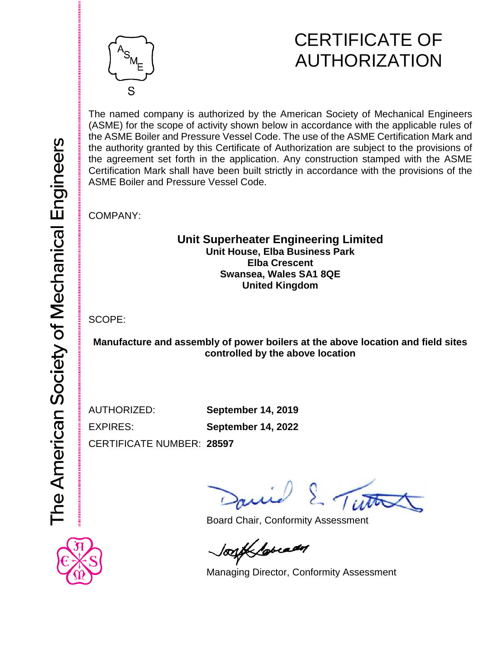

## CERTIFICATE OF AUTHORIZATION

The named company is authorized by the American Society of Mechanical Engineers (ASME) for the scope of activity shown below in accordance with the applicable rules of the ASME Boiler and Pressure Vessel Code. The use of the ASME Certification Mark and the authority granted by this Certificate of Authorization are subject to the provisions of the agreement set forth in the application. Any construction stamped with the ASME Certification Mark shall have been built strictly in accordance with the provisions of the ASME Boiler and Pressure Vessel Code.

COMPANY:

## **Unit Superheater Engineering Limited Unit House, Elba Business Park Elba Crescent Swansea, Wales SA1 8QE United Kingdom**

SCOPE:

**Manufacture and assembly of power boilers at the above location and field sites controlled by the above location**

AUTHORIZED: **September 14, 2019** EXPIRES: **September 14, 2022**

CERTIFICATE NUMBER: **28597**

*Ii* To

Board Chair, Conformity Assessment

look lovedy

Managing Director, Conformity Assessment